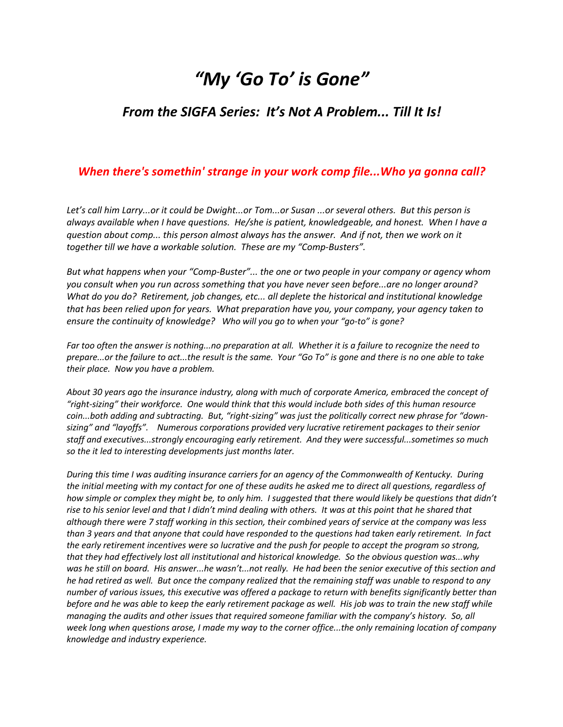## *"My 'Go To' is Gone"*

## *From the SIGFA Series: It's Not A Problem... Till It Is!*

## *When there's somethin' strange in your work comp file...Who ya gonna call?*

*Let's call him Larry...or it could be Dwight...or Tom...or Susan ...or several others. But this person is always available when I have questions. He/she is patient, knowledgeable, and honest. When I have a question about comp... this person almost always has the answer. And if not, then we work on it together till we have a workable solution. These are my "Comp-Busters".* 

*But what happens when your "Comp-Buster"... the one or two people in your company or agency whom you consult when you run across something that you have never seen before...are no longer around? What do you do? Retirement, job changes, etc... all deplete the historical and institutional knowledge that has been relied upon for years. What preparation have you, your company, your agency taken to ensure the continuity of knowledge? Who will you go to when your "go-to" is gone?* 

*Far too often the answer is nothing...no preparation at all. Whether it is a failure to recognize the need to prepare...or the failure to act...the result is the same. Your "Go To" is gone and there is no one able to take their place. Now you have a problem.*

*About 30 years ago the insurance industry, along with much of corporate America, embraced the concept of "right-sizing" their workforce. One would think that this would include both sides of this human resource coin...both adding and subtracting. But, "right-sizing" was just the politically correct new phrase for "downsizing" and "layoffs". Numerous corporations provided very lucrative retirement packages to their senior staff and executives...strongly encouraging early retirement. And they were successful...sometimes so much so the it led to interesting developments just months later.* 

*During this time I was auditing insurance carriers for an agency of the Commonwealth of Kentucky. During the initial meeting with my contact for one of these audits he asked me to direct all questions, regardless of how simple or complex they might be, to only him. I suggested that there would likely be questions that didn't rise to his senior level and that I didn't mind dealing with others. It was at this point that he shared that although there were 7 staff working in this section, their combined years of service at the company was less than 3 years and that anyone that could have responded to the questions had taken early retirement. In fact the early retirement incentives were so lucrative and the push for people to accept the program so strong, that they had effectively lost all institutional and historical knowledge. So the obvious question was...why was he still on board. His answer...he wasn't...not really. He had been the senior executive of this section and he had retired as well. But once the company realized that the remaining staff was unable to respond to any number of various issues, this executive was offered a package to return with benefits significantly better than before and he was able to keep the early retirement package as well. His job was to train the new staff while managing the audits and other issues that required someone familiar with the company's history. So, all week long when questions arose, I made my way to the corner office...the only remaining location of company knowledge and industry experience.*